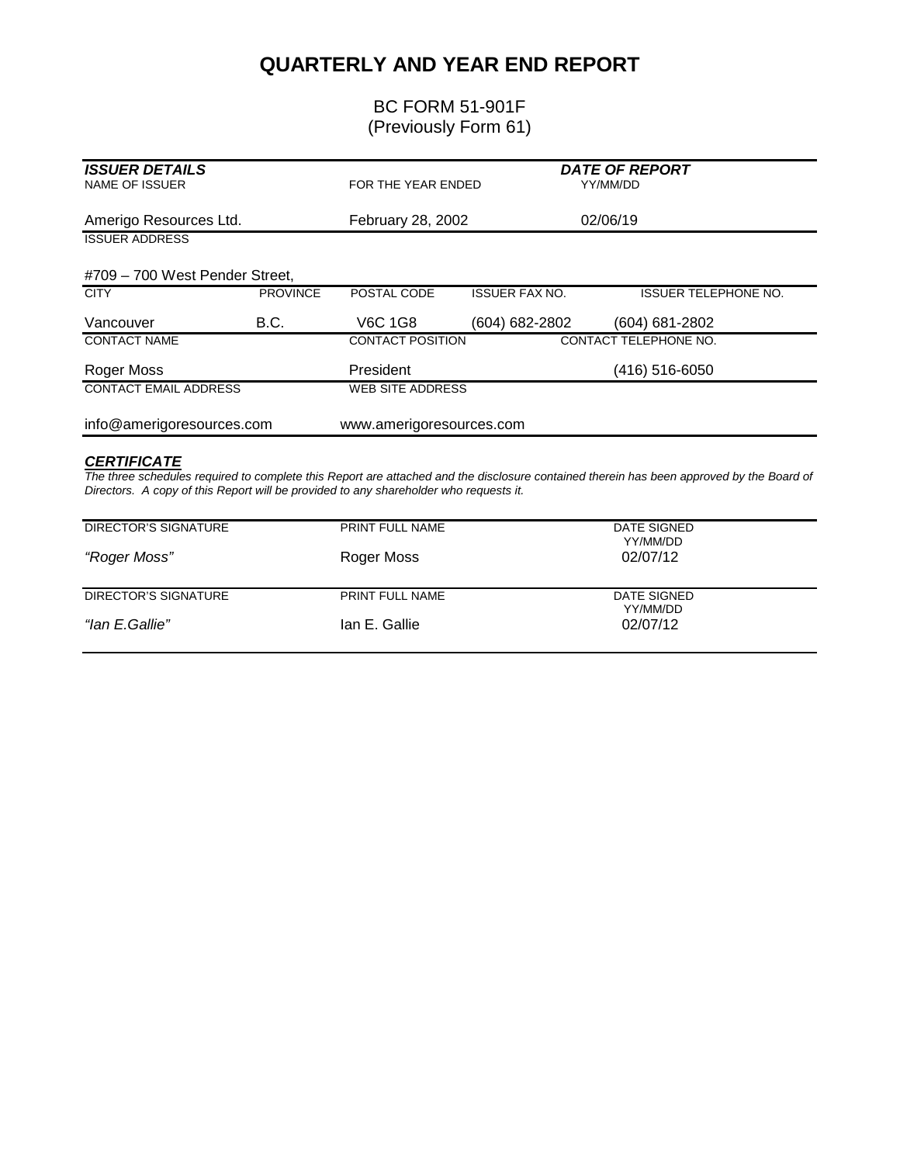## **QUARTERLY AND YEAR END REPORT**

## BC FORM 51-901F (Previously Form 61)

| <b>ISSUER DETAILS</b><br><b>NAME OF ISSUER</b> |                 | FOR THE YEAR ENDED       |                       | <b>DATE OF REPORT</b><br>YY/MM/DD |
|------------------------------------------------|-----------------|--------------------------|-----------------------|-----------------------------------|
| Amerigo Resources Ltd.                         |                 | February 28, 2002        |                       | 02/06/19                          |
| <b>ISSUER ADDRESS</b>                          |                 |                          |                       |                                   |
| #709 - 700 West Pender Street,                 |                 |                          |                       |                                   |
| <b>CITY</b>                                    | <b>PROVINCE</b> | POSTAL CODE              | <b>ISSUER FAX NO.</b> | <b>ISSUER TELEPHONE NO.</b>       |
| Vancouver                                      | B.C.            | <b>V6C 1G8</b>           | (604) 682-2802        | (604) 681-2802                    |
| <b>CONTACT NAME</b>                            |                 | <b>CONTACT POSITION</b>  |                       | CONTACT TELEPHONE NO.             |
| Roger Moss                                     |                 | President                |                       | (416) 516-6050                    |
| <b>CONTACT EMAIL ADDRESS</b>                   |                 | <b>WEB SITE ADDRESS</b>  |                       |                                   |
| info@amerigoresources.com                      |                 | www.amerigoresources.com |                       |                                   |
| <b>CERTIFICATE</b>                             |                 |                          |                       |                                   |

The three schedules required to complete this Report are attached and the disclosure contained therein has been approved by the Board of *Directors. A copy of this Report will be provided to any shareholder who requests it.* 

| DIRECTOR'S SIGNATURE | <b>PRINT FULL NAME</b> | DATE SIGNED<br>YY/MM/DD |
|----------------------|------------------------|-------------------------|
| "Roger Moss"         | Roger Moss             | 02/07/12                |
| DIRECTOR'S SIGNATURE | <b>PRINT FULL NAME</b> | DATE SIGNED<br>YY/MM/DD |
| "lan E.Gallie"       | Ian E. Gallie          | 02/07/12                |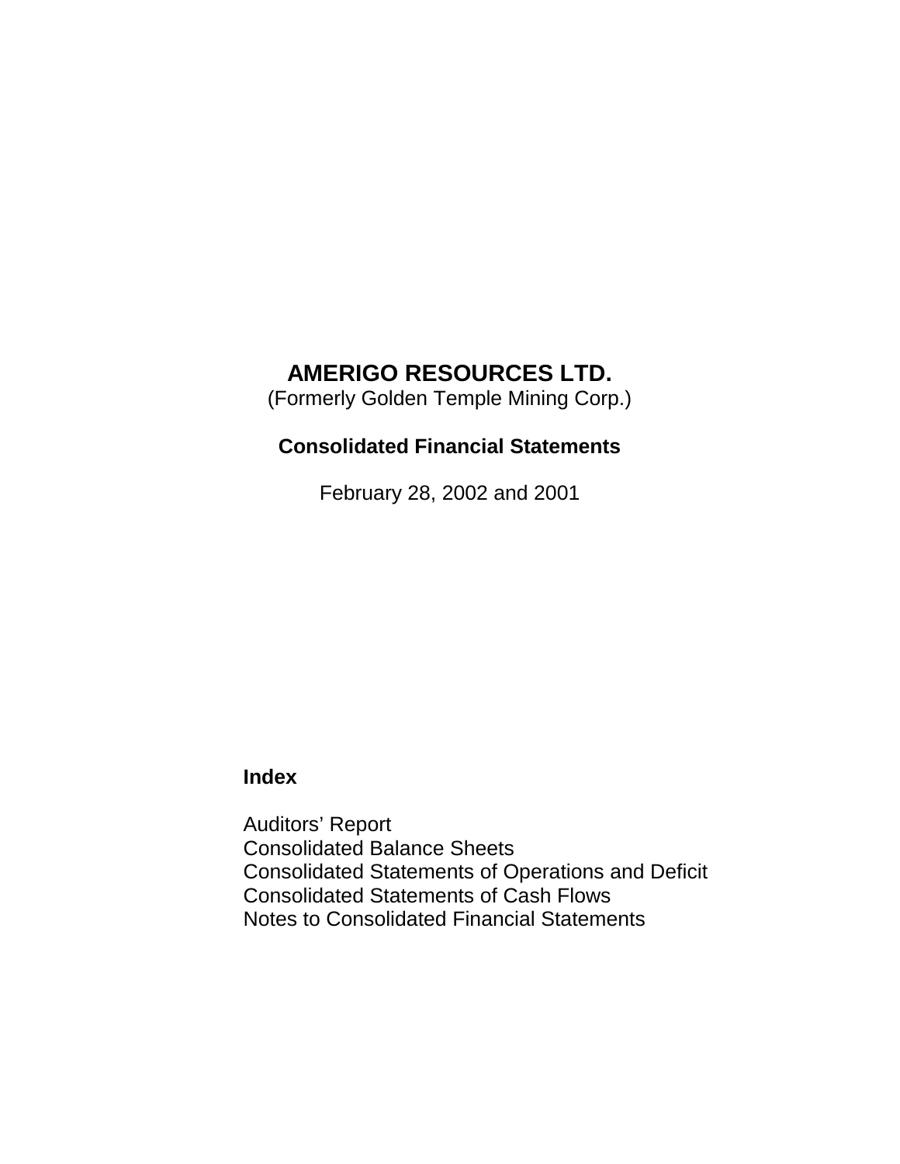(Formerly Golden Temple Mining Corp.)

## **Consolidated Financial Statements**

February 28, 2002 and 2001

## **Index**

Auditors' Report Consolidated Balance Sheets Consolidated Statements of Operations and Deficit Consolidated Statements of Cash Flows Notes to Consolidated Financial Statements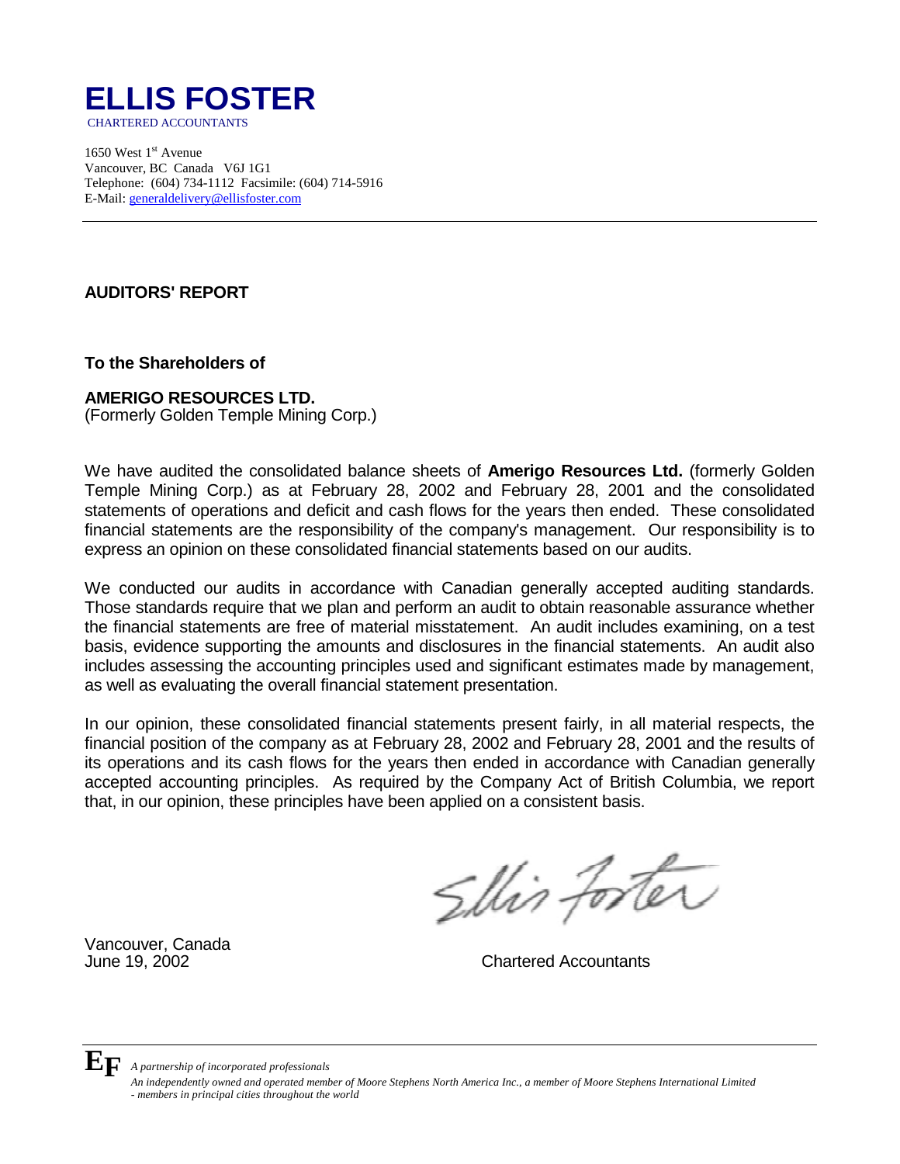

1650 West  $1<sup>st</sup>$  Avenue Vancouver, BC Canada V6J 1G1 Telephone: (604) 734-1112 Facsimile: (604) 714-5916 E-Mail: generaldelivery@ellisfoster.com

## **AUDITORS' REPORT**

**To the Shareholders of**

### **AMERIGO RESOURCES LTD.**

(Formerly Golden Temple Mining Corp.)

We have audited the consolidated balance sheets of **Amerigo Resources Ltd.** (formerly Golden Temple Mining Corp.) as at February 28, 2002 and February 28, 2001 and the consolidated statements of operations and deficit and cash flows for the years then ended. These consolidated financial statements are the responsibility of the company's management. Our responsibility is to express an opinion on these consolidated financial statements based on our audits.

We conducted our audits in accordance with Canadian generally accepted auditing standards. Those standards require that we plan and perform an audit to obtain reasonable assurance whether the financial statements are free of material misstatement. An audit includes examining, on a test basis, evidence supporting the amounts and disclosures in the financial statements. An audit also includes assessing the accounting principles used and significant estimates made by management, as well as evaluating the overall financial statement presentation.

In our opinion, these consolidated financial statements present fairly, in all material respects, the financial position of the company as at February 28, 2002 and February 28, 2001 and the results of its operations and its cash flows for the years then ended in accordance with Canadian generally accepted accounting principles. As required by the Company Act of British Columbia, we report that, in our opinion, these principles have been applied on a consistent basis.

Slin foster

Vancouver, Canada

June 19, 2002 Chartered Accountants



**EF** *A partnership of incorporated professionals* 

*An independently owned and operated member of Moore Stephens North America Inc., a member of Moore Stephens International Limited - members in principal cities throughout the world*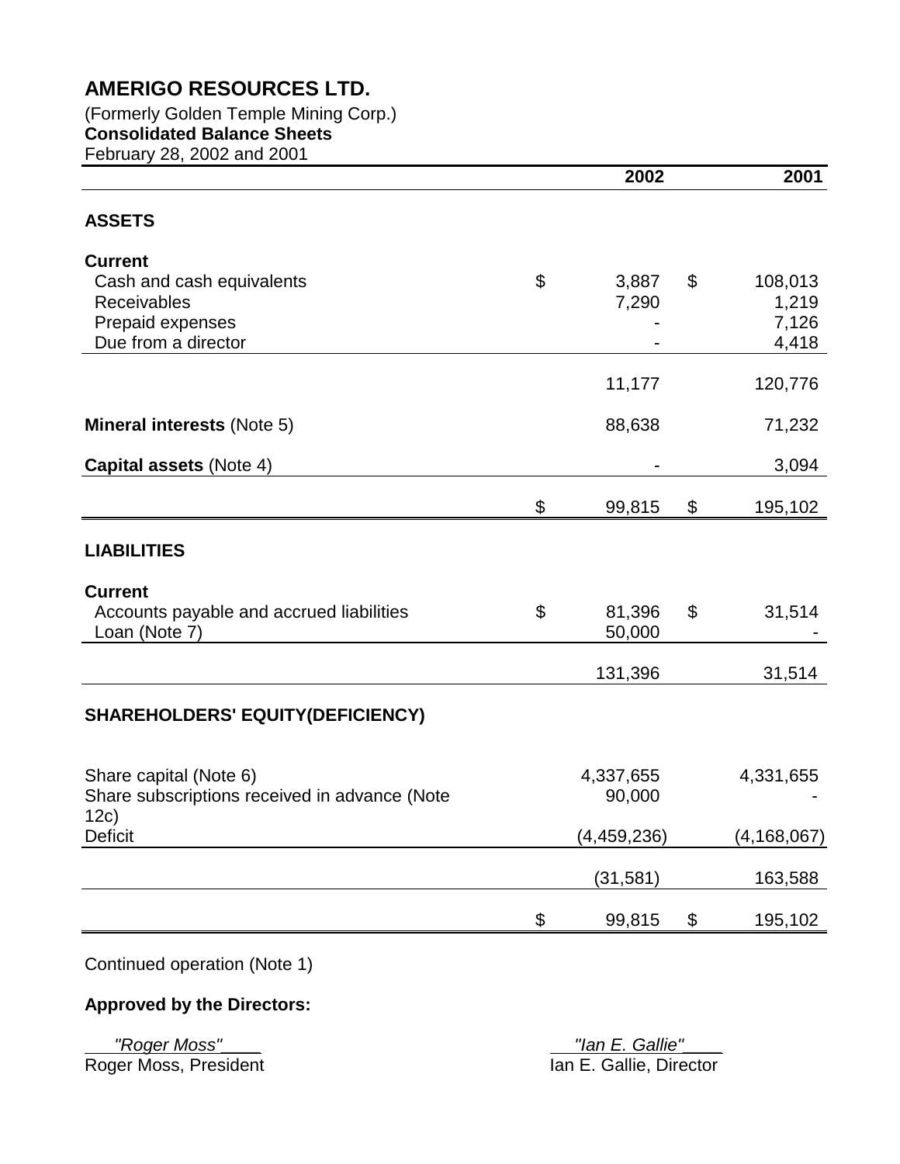(Formerly Golden Temple Mining Corp.) **Consolidated Balance Sheets**  February 28, 2002 and 2001

|                                                                         |                | 2002                | 2001          |
|-------------------------------------------------------------------------|----------------|---------------------|---------------|
| <b>ASSETS</b>                                                           |                |                     |               |
| <b>Current</b>                                                          |                |                     |               |
| Cash and cash equivalents                                               | \$             | 3,887               | \$<br>108,013 |
| Receivables                                                             |                | 7,290               | 1,219         |
| Prepaid expenses                                                        |                |                     | 7,126         |
| Due from a director                                                     |                |                     | 4,418         |
|                                                                         |                | 11,177              | 120,776       |
| <b>Mineral interests (Note 5)</b>                                       |                | 88,638              | 71,232        |
| <b>Capital assets (Note 4)</b>                                          |                |                     | 3,094         |
|                                                                         | \$             | 99,815              | \$<br>195,102 |
| <b>LIABILITIES</b>                                                      |                |                     |               |
| <b>Current</b>                                                          |                |                     |               |
| Accounts payable and accrued liabilities                                | $\mathfrak{L}$ | 81,396              | \$<br>31,514  |
| Loan (Note 7)                                                           |                | 50,000              |               |
|                                                                         |                | 131,396             | 31,514        |
| <b>SHAREHOLDERS' EQUITY(DEFICIENCY)</b>                                 |                |                     |               |
|                                                                         |                |                     |               |
| Share capital (Note 6)<br>Share subscriptions received in advance (Note |                | 4,337,655<br>90,000 | 4,331,655     |
| 12c)                                                                    |                |                     |               |
| <b>Deficit</b>                                                          |                | (4, 459, 236)       | (4, 168, 067) |
|                                                                         |                | (31, 581)           | 163,588       |
|                                                                         | \$             | 99,815              | \$<br>195,102 |
|                                                                         |                |                     |               |

Continued operation (Note 1)

## **Approved by the Directors:**

Roger Moss, President

 *"Roger Moss"\_\_\_\_ "Ian E. Gallie"\_\_\_\_*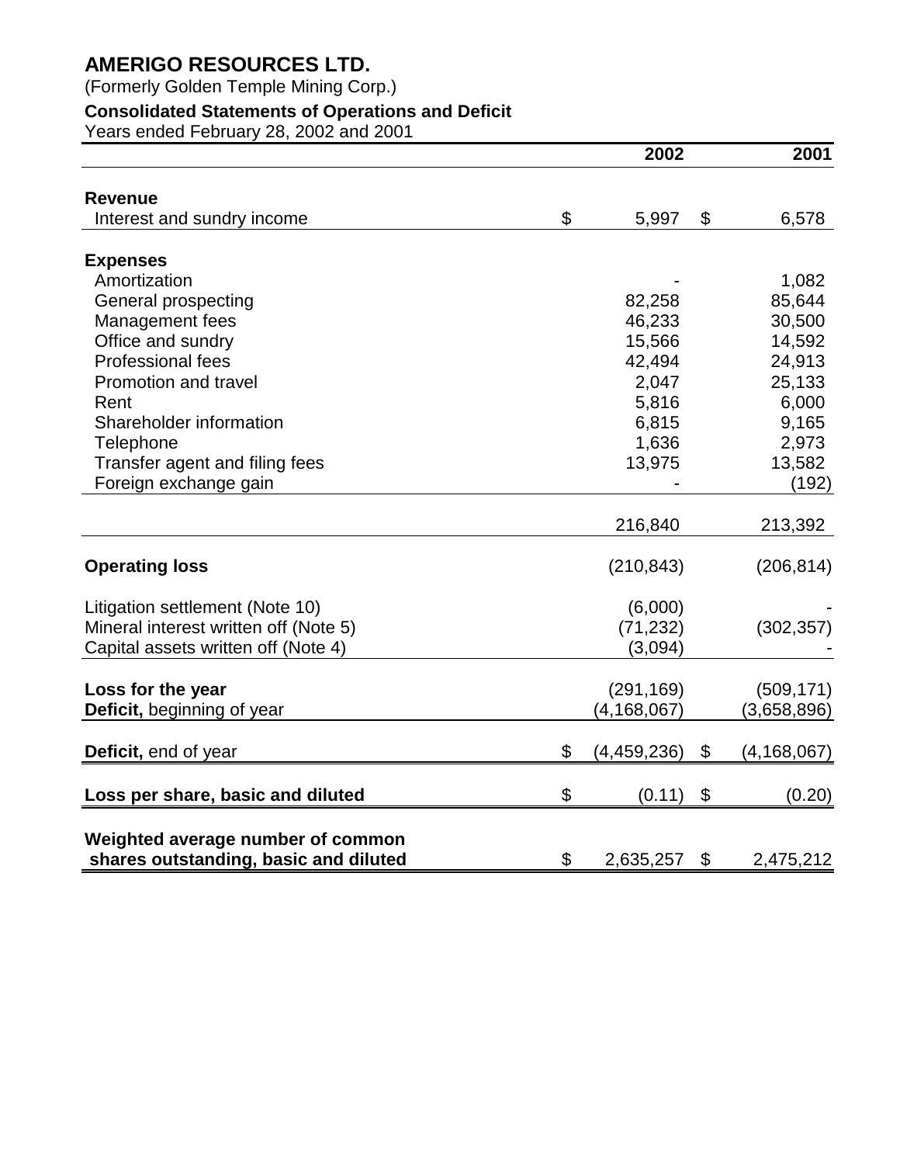(Formerly Golden Temple Mining Corp.)

## **Consolidated Statements of Operations and Deficit**

Years ended February 28, 2002 and 2001

|                                       | 2002                | 2001              |
|---------------------------------------|---------------------|-------------------|
| <b>Revenue</b>                        |                     |                   |
| Interest and sundry income            | \$<br>5,997         | \$<br>6,578       |
| <b>Expenses</b>                       |                     |                   |
| Amortization                          |                     | 1,082             |
| General prospecting                   | 82,258              | 85,644            |
| Management fees                       | 46,233              | 30,500            |
| Office and sundry                     | 15,566              | 14,592            |
| <b>Professional fees</b>              | 42,494              | 24,913            |
| <b>Promotion and travel</b>           | 2,047               | 25,133            |
| Rent                                  | 5,816               | 6,000             |
| Shareholder information               | 6,815               | 9,165             |
| Telephone                             | 1,636               | 2,973             |
| Transfer agent and filing fees        | 13,975              | 13,582            |
| Foreign exchange gain                 |                     | (192)             |
|                                       |                     |                   |
|                                       | 216,840             | 213,392           |
| <b>Operating loss</b>                 | (210, 843)          | (206, 814)        |
| Litigation settlement (Note 10)       | (6,000)             |                   |
| Mineral interest written off (Note 5) | (71, 232)           | (302, 357)        |
| Capital assets written off (Note 4)   | (3,094)             |                   |
|                                       |                     |                   |
| Loss for the year                     | (291, 169)          | (509, 171)        |
| Deficit, beginning of year            | (4, 168, 067)       | (3,658,896)       |
| Deficit, end of year                  | \$<br>(4, 459, 236) | \$<br>(4,168,067) |
| Loss per share, basic and diluted     | \$<br>(0.11)        | \$<br>(0.20)      |
| Weighted average number of common     |                     |                   |
| shares outstanding, basic and diluted | \$<br>2,635,257     | \$<br>2,475,212   |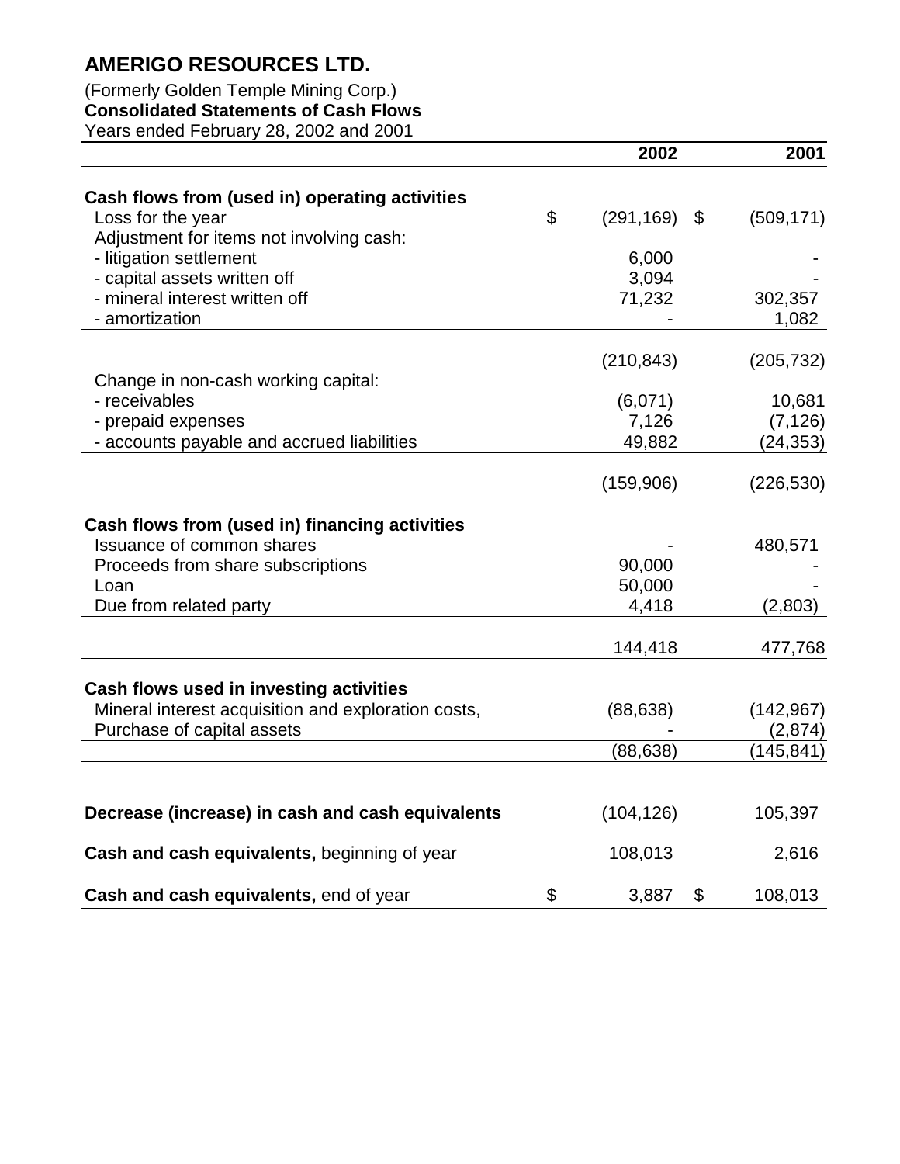## (Formerly Golden Temple Mining Corp.) **Consolidated Statements of Cash Flows**

Years ended February 28, 2002 and 2001

|                                                                                   | 2002             | 2001                  |
|-----------------------------------------------------------------------------------|------------------|-----------------------|
| Cash flows from (used in) operating activities                                    |                  |                       |
| Loss for the year                                                                 | \$<br>(291, 169) | \$<br>(509, 171)      |
| Adjustment for items not involving cash:                                          |                  |                       |
| - litigation settlement                                                           | 6,000            |                       |
| - capital assets written off                                                      | 3,094            |                       |
| - mineral interest written off                                                    | 71,232           | 302,357               |
| - amortization                                                                    |                  | 1,082                 |
|                                                                                   | (210, 843)       | (205, 732)            |
| Change in non-cash working capital:                                               |                  |                       |
| - receivables                                                                     | (6,071)          | 10,681                |
| - prepaid expenses                                                                | 7,126            | (7, 126)              |
| - accounts payable and accrued liabilities                                        | 49,882           | (24, 353)             |
|                                                                                   | (159, 906)       | (226, 530)            |
|                                                                                   |                  |                       |
| Cash flows from (used in) financing activities                                    |                  |                       |
| <b>Issuance of common shares</b>                                                  |                  | 480,571               |
| Proceeds from share subscriptions                                                 | 90,000           |                       |
| Loan                                                                              | 50,000           |                       |
| Due from related party                                                            | 4,418            | (2,803)               |
|                                                                                   | 144,418          | 477,768               |
|                                                                                   |                  |                       |
| Cash flows used in investing activities                                           |                  |                       |
| Mineral interest acquisition and exploration costs,<br>Purchase of capital assets | (88, 638)        | (142, 967)            |
|                                                                                   | (88, 638)        | (2,874)<br>(145, 841) |
|                                                                                   |                  |                       |
| Decrease (increase) in cash and cash equivalents                                  | (104, 126)       | 105,397               |
| Cash and cash equivalents, beginning of year                                      | 108,013          | 2,616                 |
|                                                                                   |                  |                       |
| Cash and cash equivalents, end of year                                            | \$<br>3,887      | \$<br>108,013         |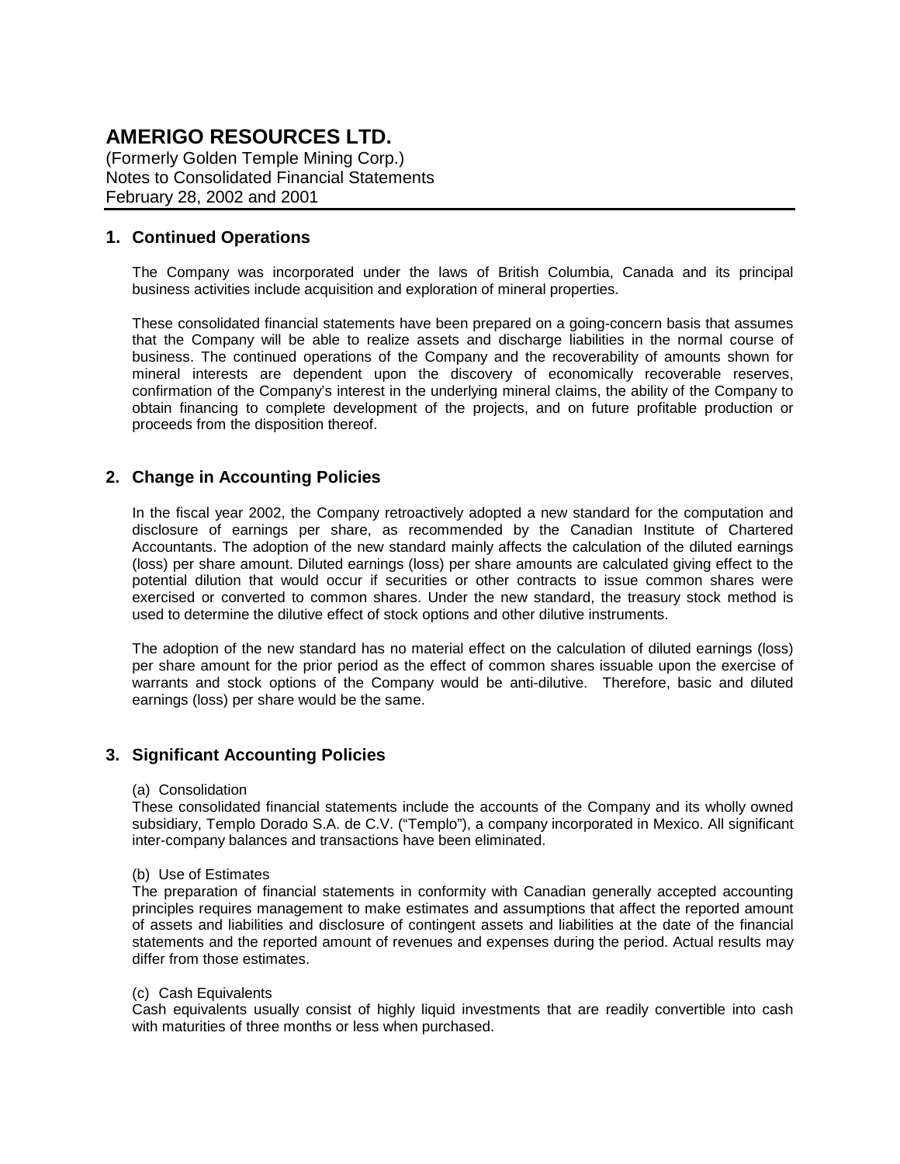(Formerly Golden Temple Mining Corp.) Notes to Consolidated Financial Statements February 28, 2002 and 2001

### **1. Continued Operations**

The Company was incorporated under the laws of British Columbia, Canada and its principal business activities include acquisition and exploration of mineral properties.

These consolidated financial statements have been prepared on a going-concern basis that assumes that the Company will be able to realize assets and discharge liabilities in the normal course of business. The continued operations of the Company and the recoverability of amounts shown for mineral interests are dependent upon the discovery of economically recoverable reserves, confirmation of the Company's interest in the underlying mineral claims, the ability of the Company to obtain financing to complete development of the projects, and on future profitable production or proceeds from the disposition thereof.

### **2. Change in Accounting Policies**

In the fiscal year 2002, the Company retroactively adopted a new standard for the computation and disclosure of earnings per share, as recommended by the Canadian Institute of Chartered Accountants. The adoption of the new standard mainly affects the calculation of the diluted earnings (loss) per share amount. Diluted earnings (loss) per share amounts are calculated giving effect to the potential dilution that would occur if securities or other contracts to issue common shares were exercised or converted to common shares. Under the new standard, the treasury stock method is used to determine the dilutive effect of stock options and other dilutive instruments.

The adoption of the new standard has no material effect on the calculation of diluted earnings (loss) per share amount for the prior period as the effect of common shares issuable upon the exercise of warrants and stock options of the Company would be anti-dilutive. Therefore, basic and diluted earnings (loss) per share would be the same.

#### **3. Significant Accounting Policies**

(a) Consolidation

These consolidated financial statements include the accounts of the Company and its wholly owned subsidiary, Templo Dorado S.A. de C.V. ("Templo"), a company incorporated in Mexico. All significant inter-company balances and transactions have been eliminated.

#### (b) Use of Estimates

The preparation of financial statements in conformity with Canadian generally accepted accounting principles requires management to make estimates and assumptions that affect the reported amount of assets and liabilities and disclosure of contingent assets and liabilities at the date of the financial statements and the reported amount of revenues and expenses during the period. Actual results may differ from those estimates.

#### (c) Cash Equivalents

Cash equivalents usually consist of highly liquid investments that are readily convertible into cash with maturities of three months or less when purchased.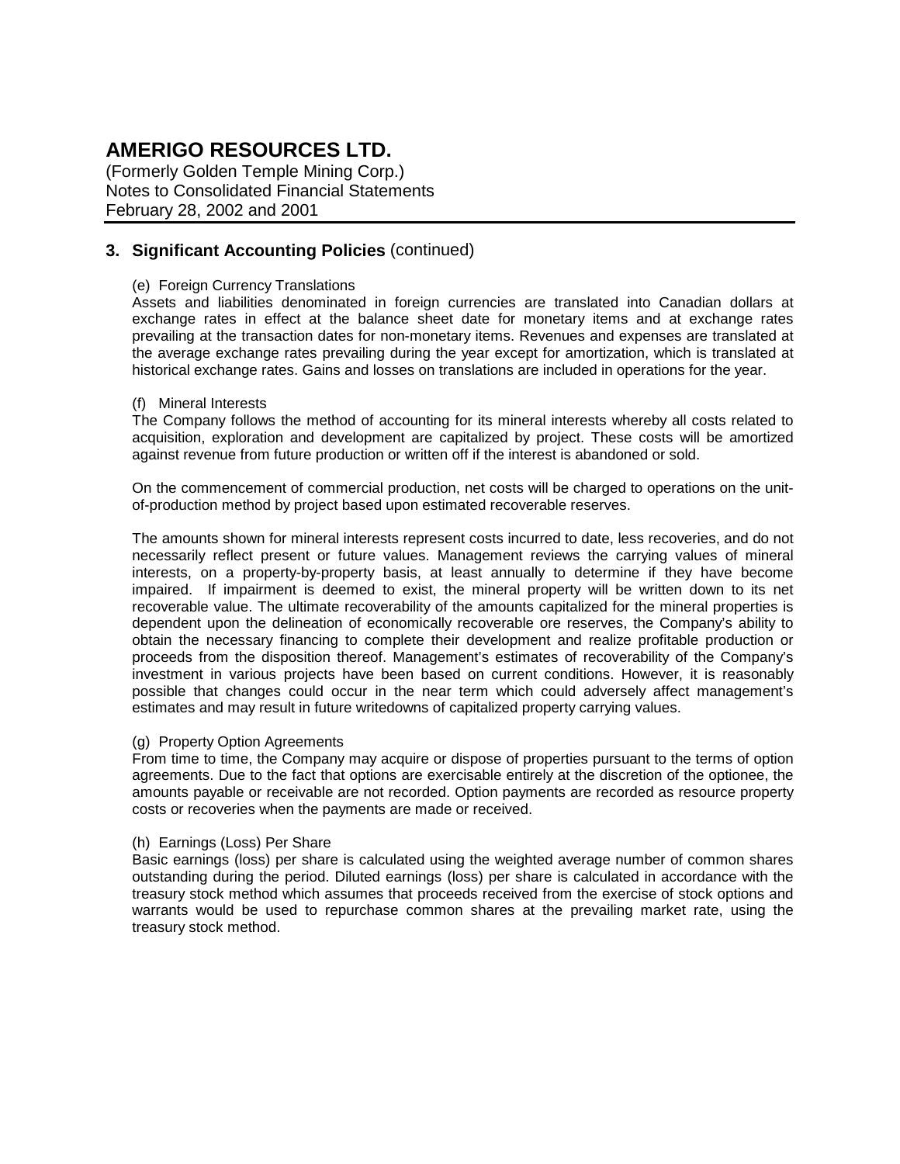(Formerly Golden Temple Mining Corp.) Notes to Consolidated Financial Statements February 28, 2002 and 2001

### **3. Significant Accounting Policies** (continued)

#### (e) Foreign Currency Translations

Assets and liabilities denominated in foreign currencies are translated into Canadian dollars at exchange rates in effect at the balance sheet date for monetary items and at exchange rates prevailing at the transaction dates for non-monetary items. Revenues and expenses are translated at the average exchange rates prevailing during the year except for amortization, which is translated at historical exchange rates. Gains and losses on translations are included in operations for the year.

#### (f) Mineral Interests

The Company follows the method of accounting for its mineral interests whereby all costs related to acquisition, exploration and development are capitalized by project. These costs will be amortized against revenue from future production or written off if the interest is abandoned or sold.

On the commencement of commercial production, net costs will be charged to operations on the unitof-production method by project based upon estimated recoverable reserves.

The amounts shown for mineral interests represent costs incurred to date, less recoveries, and do not necessarily reflect present or future values. Management reviews the carrying values of mineral interests, on a property-by-property basis, at least annually to determine if they have become impaired. If impairment is deemed to exist, the mineral property will be written down to its net recoverable value. The ultimate recoverability of the amounts capitalized for the mineral properties is dependent upon the delineation of economically recoverable ore reserves, the Company's ability to obtain the necessary financing to complete their development and realize profitable production or proceeds from the disposition thereof. Management's estimates of recoverability of the Company's investment in various projects have been based on current conditions. However, it is reasonably possible that changes could occur in the near term which could adversely affect management's estimates and may result in future writedowns of capitalized property carrying values.

#### (g) Property Option Agreements

From time to time, the Company may acquire or dispose of properties pursuant to the terms of option agreements. Due to the fact that options are exercisable entirely at the discretion of the optionee, the amounts payable or receivable are not recorded. Option payments are recorded as resource property costs or recoveries when the payments are made or received.

#### (h) Earnings (Loss) Per Share

Basic earnings (loss) per share is calculated using the weighted average number of common shares outstanding during the period. Diluted earnings (loss) per share is calculated in accordance with the treasury stock method which assumes that proceeds received from the exercise of stock options and warrants would be used to repurchase common shares at the prevailing market rate, using the treasury stock method.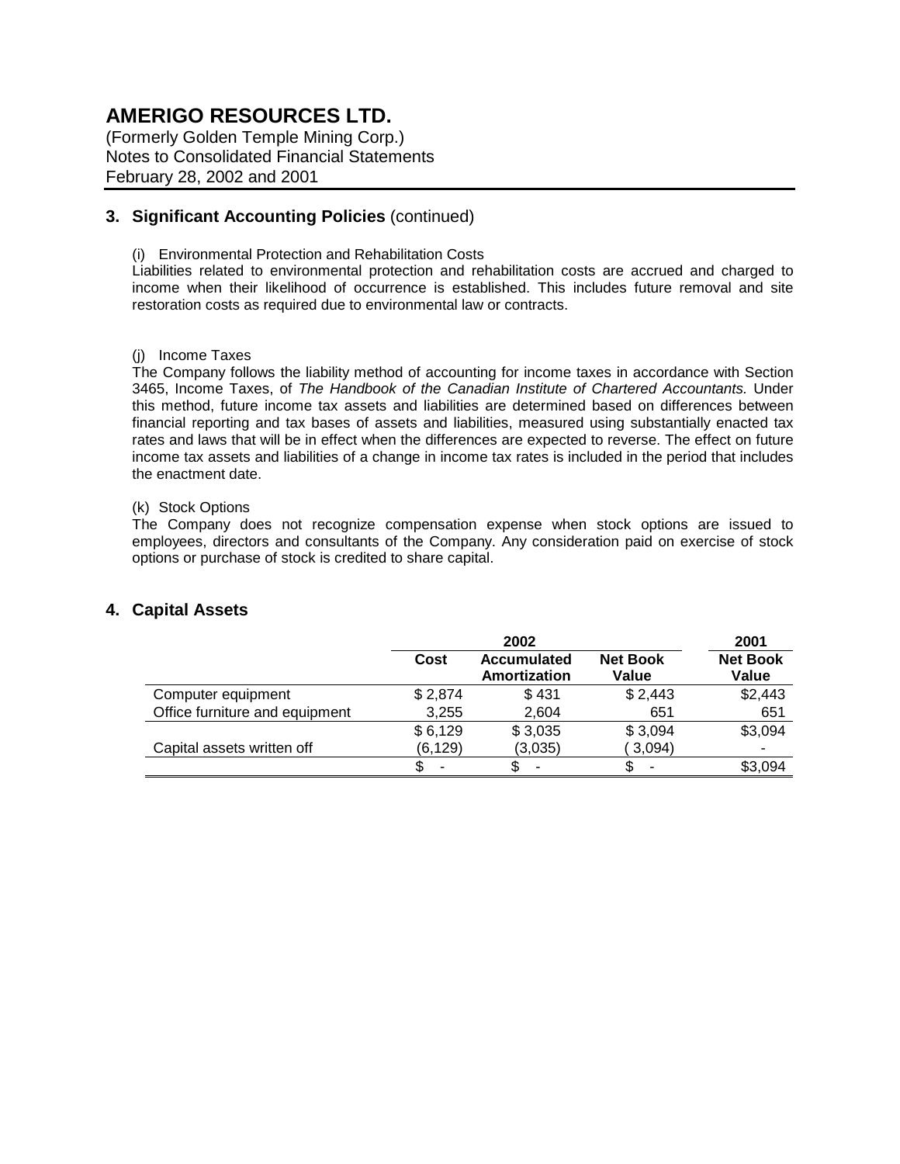(Formerly Golden Temple Mining Corp.) Notes to Consolidated Financial Statements February 28, 2002 and 2001

## **3. Significant Accounting Policies** (continued)

(i) Environmental Protection and Rehabilitation Costs

Liabilities related to environmental protection and rehabilitation costs are accrued and charged to income when their likelihood of occurrence is established. This includes future removal and site restoration costs as required due to environmental law or contracts.

#### (j) Income Taxes

The Company follows the liability method of accounting for income taxes in accordance with Section 3465, Income Taxes, of *The Handbook of the Canadian Institute of Chartered Accountants.* Under this method, future income tax assets and liabilities are determined based on differences between financial reporting and tax bases of assets and liabilities, measured using substantially enacted tax rates and laws that will be in effect when the differences are expected to reverse. The effect on future income tax assets and liabilities of a change in income tax rates is included in the period that includes the enactment date.

#### (k) Stock Options

The Company does not recognize compensation expense when stock options are issued to employees, directors and consultants of the Company. Any consideration paid on exercise of stock options or purchase of stock is credited to share capital.

### **4. Capital Assets**

|                                | 2002    |                             |                          | 2001                     |
|--------------------------------|---------|-----------------------------|--------------------------|--------------------------|
|                                | Cost    | Accumulated<br>Amortization | <b>Net Book</b><br>Value | <b>Net Book</b><br>Value |
| Computer equipment             | \$2,874 | \$431                       | \$2,443                  | \$2,443                  |
| Office furniture and equipment | 3,255   | 2,604                       | 651                      | 651                      |
|                                | \$6,129 | \$3,035                     | \$3,094                  | \$3,094                  |
| Capital assets written off     | (6,129) | (3,035)                     | 3,094)                   |                          |
|                                |         |                             | \$                       | \$3,094                  |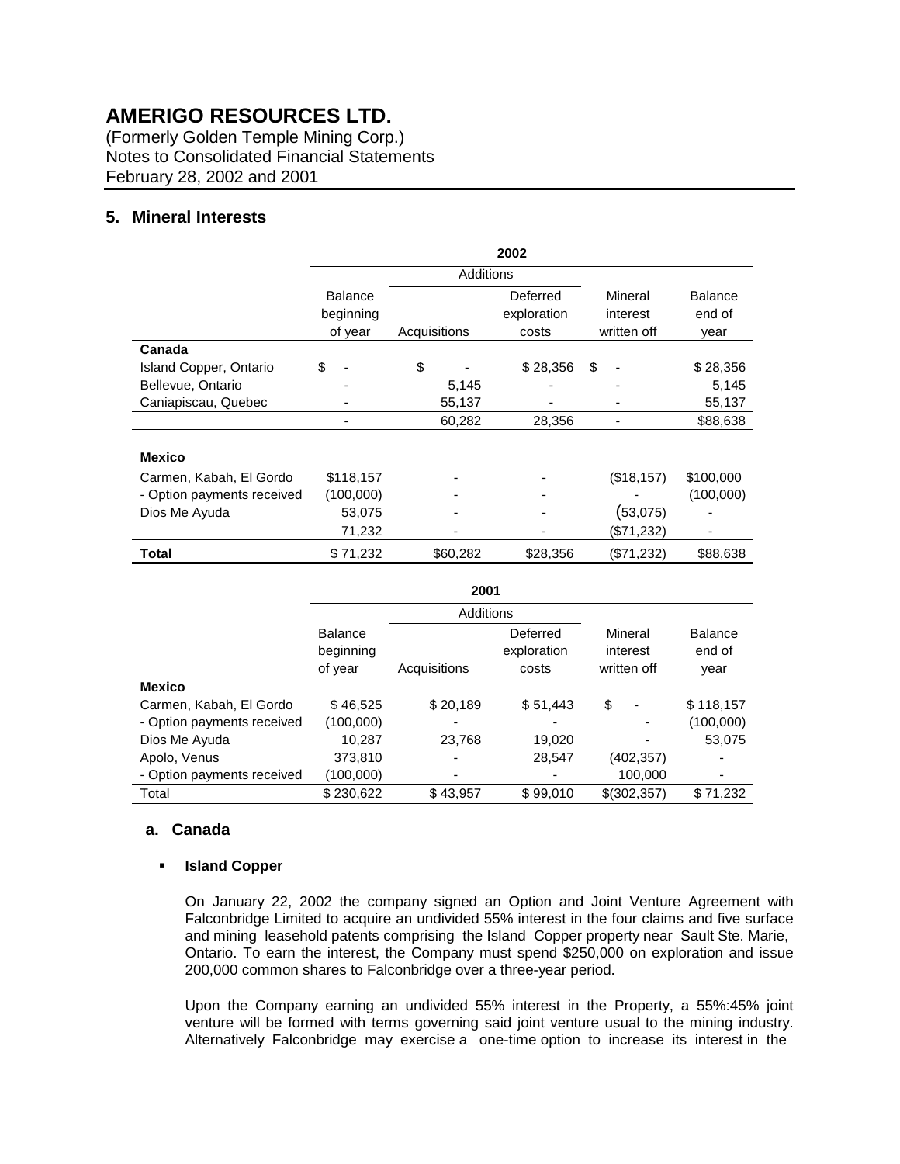(Formerly Golden Temple Mining Corp.) Notes to Consolidated Financial Statements February 28, 2002 and 2001

### **5. Mineral Interests**

|                            | 2002                                   |                  |              |                                  |                                    |                                  |  |
|----------------------------|----------------------------------------|------------------|--------------|----------------------------------|------------------------------------|----------------------------------|--|
|                            |                                        | <b>Additions</b> |              |                                  |                                    |                                  |  |
|                            | <b>Balance</b><br>beginning<br>of year |                  | Acquisitions | Deferred<br>exploration<br>costs | Mineral<br>interest<br>written off | <b>Balance</b><br>end of<br>year |  |
| Canada                     |                                        |                  |              |                                  |                                    |                                  |  |
| Island Copper, Ontario     | \$                                     | \$               |              | \$28,356                         | \$                                 | \$28,356                         |  |
| Bellevue, Ontario          |                                        |                  | 5,145        |                                  |                                    | 5,145                            |  |
| Caniapiscau, Quebec        |                                        |                  | 55,137       |                                  |                                    | 55,137                           |  |
|                            |                                        |                  | 60,282       | 28,356                           |                                    | \$88,638                         |  |
| <b>Mexico</b>              |                                        |                  |              |                                  |                                    |                                  |  |
| Carmen, Kabah, El Gordo    | \$118,157                              |                  |              |                                  | (\$18, 157)                        | \$100,000                        |  |
| - Option payments received | (100,000)                              |                  |              |                                  |                                    | (100,000)                        |  |
| Dios Me Ayuda              | 53,075                                 |                  |              |                                  | (53,075)                           |                                  |  |
|                            | 71,232                                 |                  |              |                                  | (\$71,232)                         |                                  |  |
| Total                      | \$71,232                               |                  | \$60,282     | \$28,356                         | (\$71,232)                         | \$88,638                         |  |

| 2001                       |                                        |              |                                  |                                    |                          |  |
|----------------------------|----------------------------------------|--------------|----------------------------------|------------------------------------|--------------------------|--|
|                            |                                        | Additions    |                                  |                                    |                          |  |
|                            | <b>Balance</b><br>beginning<br>of year | Acquisitions | Deferred<br>exploration<br>costs | Mineral<br>interest<br>written off | <b>Balance</b><br>end of |  |
| <b>Mexico</b>              |                                        |              |                                  |                                    | year                     |  |
| Carmen, Kabah, El Gordo    | \$46.525                               | \$20,189     | \$51,443                         | \$<br>$\overline{\phantom{a}}$     | \$118,157                |  |
| - Option payments received | (100,000)                              |              |                                  |                                    | (100,000)                |  |
| Dios Me Ayuda              | 10.287                                 | 23,768       | 19,020                           |                                    | 53,075                   |  |
| Apolo, Venus               | 373,810                                |              | 28,547                           | (402,357)                          |                          |  |
| - Option payments received | (100,000)                              |              |                                  | 100,000                            |                          |  |
| Total                      | \$230.622                              | \$43.957     | \$99.010                         | \$ (302.357)                       | \$71.232                 |  |

#### **a. Canada**

#### ! **Island Copper**

On January 22, 2002 the company signed an Option and Joint Venture Agreement with Falconbridge Limited to acquire an undivided 55% interest in the four claims and five surface and mining leasehold patents comprising the Island Copper property near Sault Ste. Marie, Ontario. To earn the interest, the Company must spend \$250,000 on exploration and issue 200,000 common shares to Falconbridge over a three-year period.

Upon the Company earning an undivided 55% interest in the Property, a 55%:45% joint venture will be formed with terms governing said joint venture usual to the mining industry. Alternatively Falconbridge may exercise a one-time option to increase its interest in the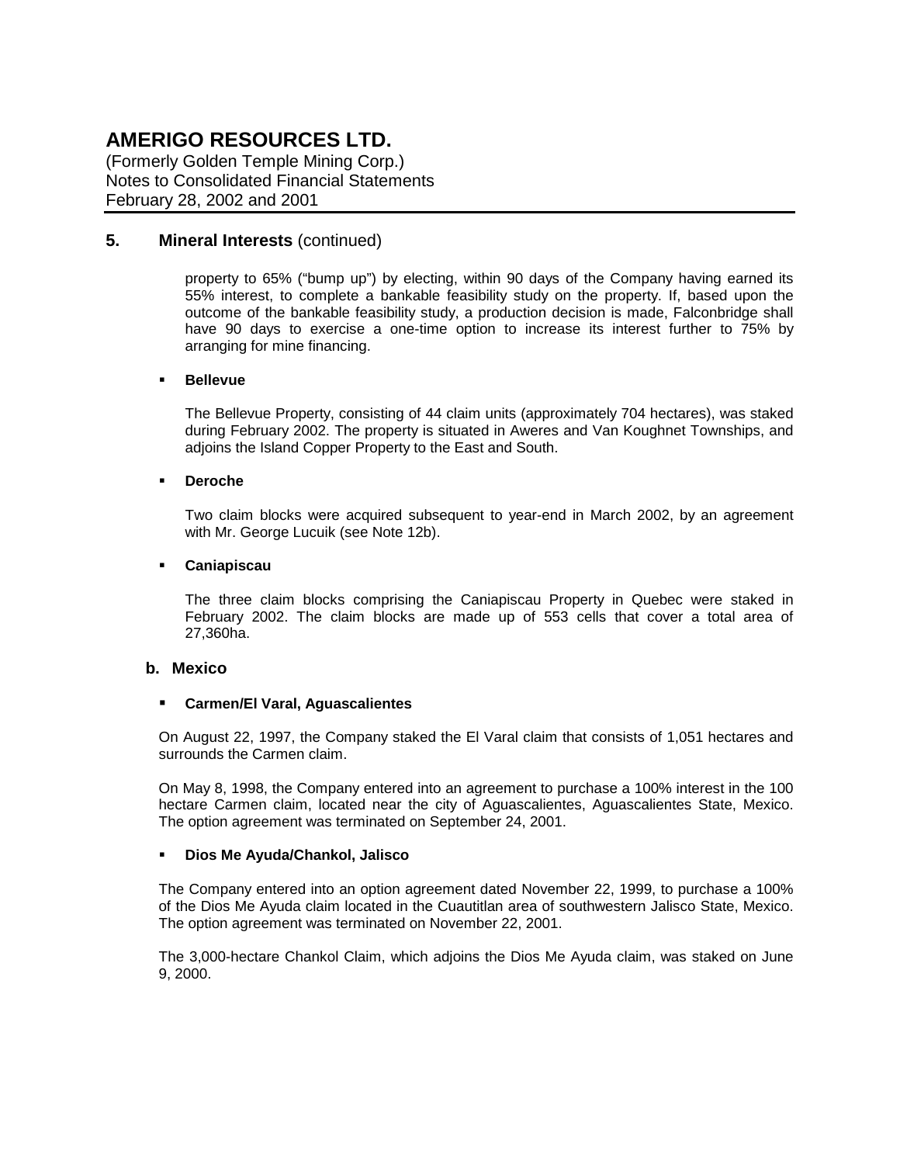(Formerly Golden Temple Mining Corp.) Notes to Consolidated Financial Statements February 28, 2002 and 2001

### **5. Mineral Interests** (continued)

property to 65% ("bump up") by electing, within 90 days of the Company having earned its 55% interest, to complete a bankable feasibility study on the property. If, based upon the outcome of the bankable feasibility study, a production decision is made, Falconbridge shall have 90 days to exercise a one-time option to increase its interest further to 75% by arranging for mine financing.

#### ! **Bellevue**

The Bellevue Property, consisting of 44 claim units (approximately 704 hectares), was staked during February 2002. The property is situated in Aweres and Van Koughnet Townships, and adjoins the Island Copper Property to the East and South.

#### ! **Deroche**

Two claim blocks were acquired subsequent to year-end in March 2002, by an agreement with Mr. George Lucuik (see Note 12b).

#### ! **Caniapiscau**

The three claim blocks comprising the Caniapiscau Property in Quebec were staked in February 2002. The claim blocks are made up of 553 cells that cover a total area of 27,360ha.

#### **b. Mexico**

#### ! **Carmen/El Varal, Aguascalientes**

On August 22, 1997, the Company staked the El Varal claim that consists of 1,051 hectares and surrounds the Carmen claim.

On May 8, 1998, the Company entered into an agreement to purchase a 100% interest in the 100 hectare Carmen claim, located near the city of Aguascalientes, Aguascalientes State, Mexico. The option agreement was terminated on September 24, 2001.

#### ! **Dios Me Ayuda/Chankol, Jalisco**

The Company entered into an option agreement dated November 22, 1999, to purchase a 100% of the Dios Me Ayuda claim located in the Cuautitlan area of southwestern Jalisco State, Mexico. The option agreement was terminated on November 22, 2001.

The 3,000-hectare Chankol Claim, which adjoins the Dios Me Ayuda claim, was staked on June 9, 2000.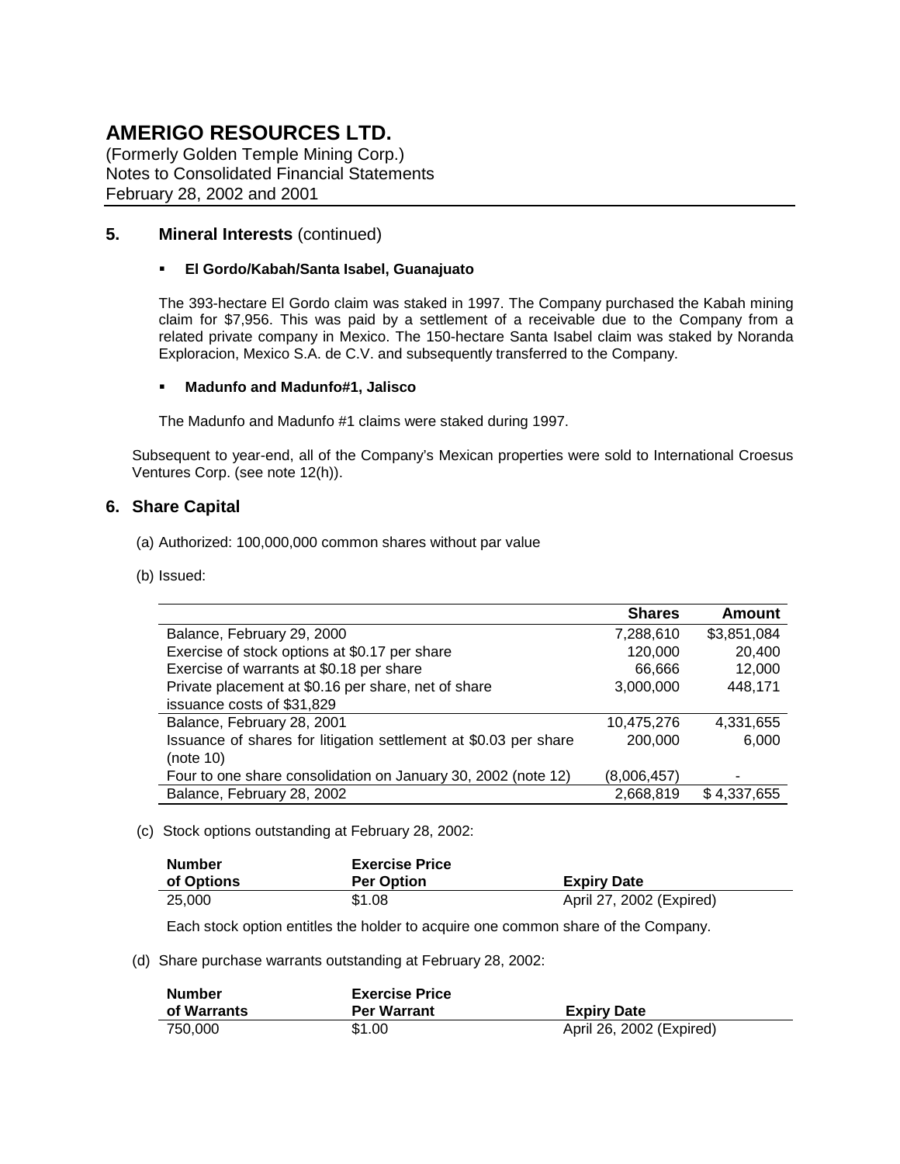(Formerly Golden Temple Mining Corp.) Notes to Consolidated Financial Statements February 28, 2002 and 2001

## **5. Mineral Interests** (continued)

#### ! **El Gordo/Kabah/Santa Isabel, Guanajuato**

The 393-hectare El Gordo claim was staked in 1997. The Company purchased the Kabah mining claim for \$7,956. This was paid by a settlement of a receivable due to the Company from a related private company in Mexico. The 150-hectare Santa Isabel claim was staked by Noranda Exploracion, Mexico S.A. de C.V. and subsequently transferred to the Company.

#### ! **Madunfo and Madunfo#1, Jalisco**

The Madunfo and Madunfo #1 claims were staked during 1997.

Subsequent to year-end, all of the Company's Mexican properties were sold to International Croesus Ventures Corp. (see note 12(h)).

### **6. Share Capital**

- (a) Authorized: 100,000,000 common shares without par value
- (b) Issued:

|                                                                  | <b>Shares</b> | Amount      |
|------------------------------------------------------------------|---------------|-------------|
| Balance, February 29, 2000                                       | 7,288,610     | \$3,851,084 |
| Exercise of stock options at \$0.17 per share                    | 120,000       | 20,400      |
| Exercise of warrants at \$0.18 per share                         | 66,666        | 12,000      |
| Private placement at \$0.16 per share, net of share              | 3,000,000     | 448,171     |
| issuance costs of \$31,829                                       |               |             |
| Balance, February 28, 2001                                       | 10,475,276    | 4,331,655   |
| Issuance of shares for litigation settlement at \$0.03 per share | 200,000       | 6,000       |
| (note 10)                                                        |               |             |
| Four to one share consolidation on January 30, 2002 (note 12)    | (8,006,457)   |             |
| Balance, February 28, 2002                                       | 2,668,819     | \$4,337,655 |

(c) Stock options outstanding at February 28, 2002:

| <b>Number</b> | <b>Exercise Price</b> |                          |
|---------------|-----------------------|--------------------------|
| of Options    | <b>Per Option</b>     | <b>Expiry Date</b>       |
| 25,000        | \$1.08                | April 27, 2002 (Expired) |

Each stock option entitles the holder to acquire one common share of the Company.

(d) Share purchase warrants outstanding at February 28, 2002:

| <b>Number</b> | <b>Exercise Price</b> |                          |
|---------------|-----------------------|--------------------------|
| of Warrants   | <b>Per Warrant</b>    | <b>Expiry Date</b>       |
| 750.000       | \$1.00                | April 26, 2002 (Expired) |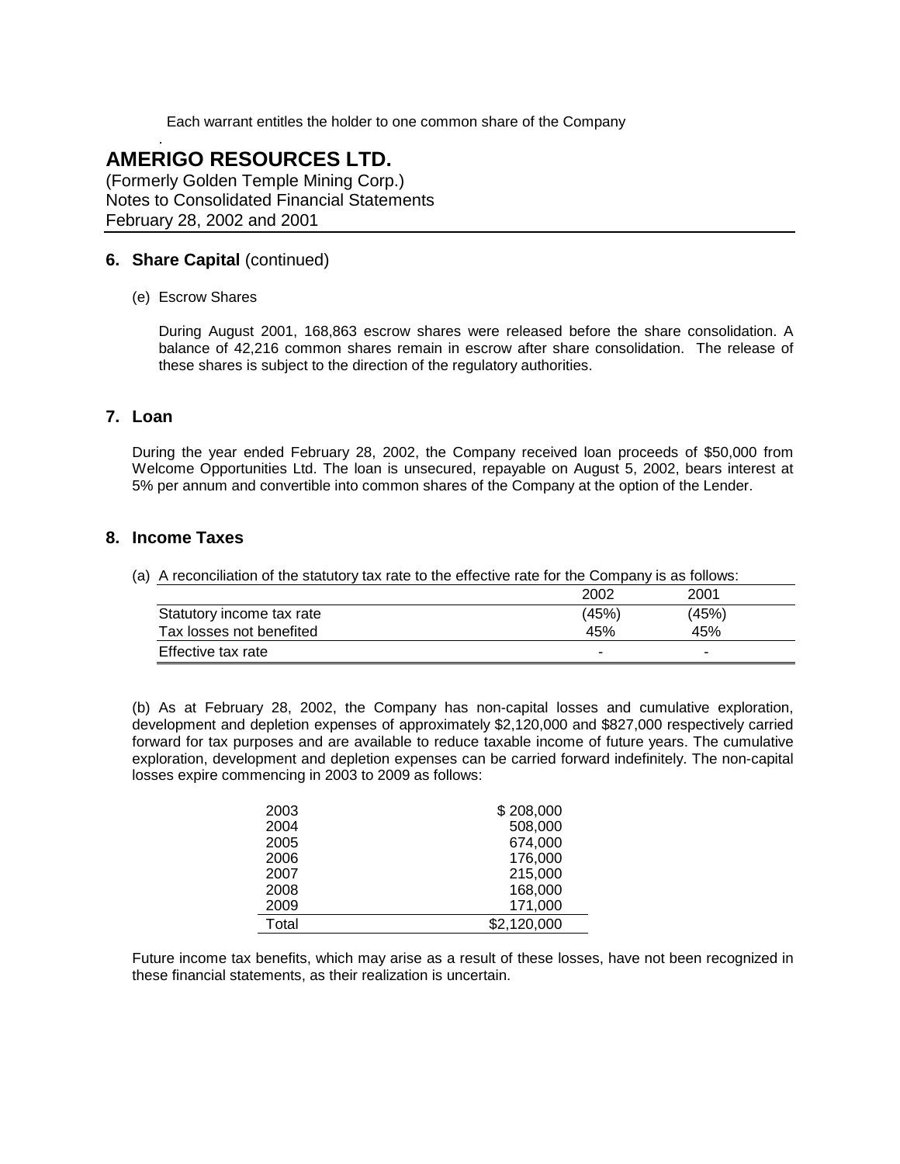Each warrant entitles the holder to one common share of the Company

## . **AMERIGO RESOURCES LTD.**

(Formerly Golden Temple Mining Corp.) Notes to Consolidated Financial Statements February 28, 2002 and 2001

### **6. Share Capital** (continued)

(e) Escrow Shares

During August 2001, 168,863 escrow shares were released before the share consolidation. A balance of 42,216 common shares remain in escrow after share consolidation. The release of these shares is subject to the direction of the regulatory authorities.

### **7. Loan**

During the year ended February 28, 2002, the Company received loan proceeds of \$50,000 from Welcome Opportunities Ltd. The loan is unsecured, repayable on August 5, 2002, bears interest at 5% per annum and convertible into common shares of the Company at the option of the Lender.

### **8. Income Taxes**

(a) A reconciliation of the statutory tax rate to the effective rate for the Company is as follows:

|                           | 2002  | 2001  |  |
|---------------------------|-------|-------|--|
| Statutory income tax rate | (45%) | (45%) |  |
| Tax losses not benefited  | 45%   | 45%   |  |
| Effective tax rate        | -     |       |  |

(b) As at February 28, 2002, the Company has non-capital losses and cumulative exploration, development and depletion expenses of approximately \$2,120,000 and \$827,000 respectively carried forward for tax purposes and are available to reduce taxable income of future years. The cumulative exploration, development and depletion expenses can be carried forward indefinitely. The non-capital losses expire commencing in 2003 to 2009 as follows:

| 2003  | \$208,000   |  |
|-------|-------------|--|
| 2004  | 508,000     |  |
| 2005  | 674,000     |  |
| 2006  | 176,000     |  |
| 2007  | 215,000     |  |
| 2008  | 168,000     |  |
| 2009  | 171,000     |  |
| Total | \$2,120,000 |  |

Future income tax benefits, which may arise as a result of these losses, have not been recognized in these financial statements, as their realization is uncertain.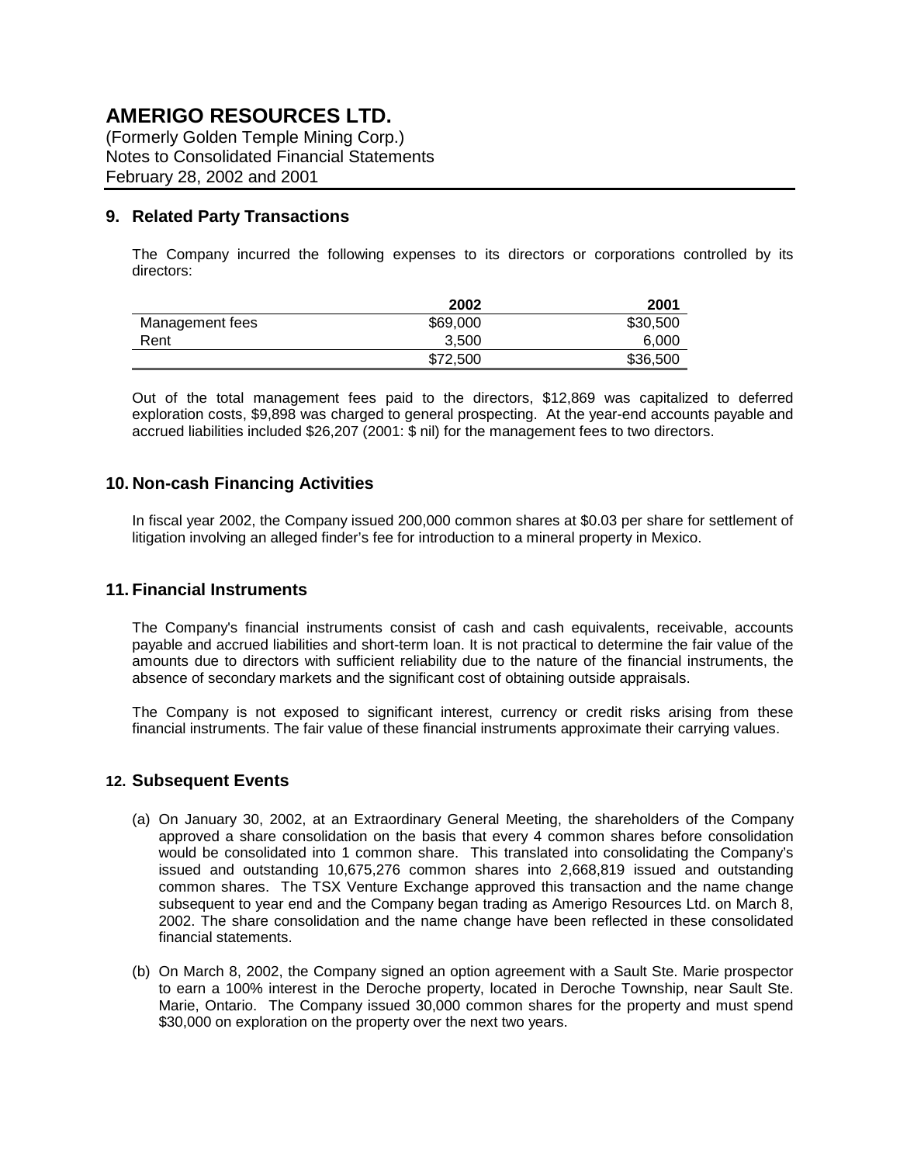(Formerly Golden Temple Mining Corp.) Notes to Consolidated Financial Statements February 28, 2002 and 2001

### **9. Related Party Transactions**

The Company incurred the following expenses to its directors or corporations controlled by its directors:

|                 | 2002     | 2001     |
|-----------------|----------|----------|
| Management fees | \$69,000 | \$30,500 |
| Rent            | 3.500    | 6.000    |
|                 | \$72,500 | \$36,500 |

Out of the total management fees paid to the directors, \$12,869 was capitalized to deferred exploration costs, \$9,898 was charged to general prospecting. At the year-end accounts payable and accrued liabilities included \$26,207 (2001: \$ nil) for the management fees to two directors.

### **10. Non-cash Financing Activities**

In fiscal year 2002, the Company issued 200,000 common shares at \$0.03 per share for settlement of litigation involving an alleged finder's fee for introduction to a mineral property in Mexico.

### **11. Financial Instruments**

The Company's financial instruments consist of cash and cash equivalents, receivable, accounts payable and accrued liabilities and short-term loan. It is not practical to determine the fair value of the amounts due to directors with sufficient reliability due to the nature of the financial instruments, the absence of secondary markets and the significant cost of obtaining outside appraisals.

The Company is not exposed to significant interest, currency or credit risks arising from these financial instruments. The fair value of these financial instruments approximate their carrying values.

#### **12. Subsequent Events**

- (a) On January 30, 2002, at an Extraordinary General Meeting, the shareholders of the Company approved a share consolidation on the basis that every 4 common shares before consolidation would be consolidated into 1 common share. This translated into consolidating the Company's issued and outstanding 10,675,276 common shares into 2,668,819 issued and outstanding common shares. The TSX Venture Exchange approved this transaction and the name change subsequent to year end and the Company began trading as Amerigo Resources Ltd. on March 8, 2002. The share consolidation and the name change have been reflected in these consolidated financial statements.
- (b) On March 8, 2002, the Company signed an option agreement with a Sault Ste. Marie prospector to earn a 100% interest in the Deroche property, located in Deroche Township, near Sault Ste. Marie, Ontario. The Company issued 30,000 common shares for the property and must spend \$30,000 on exploration on the property over the next two years.